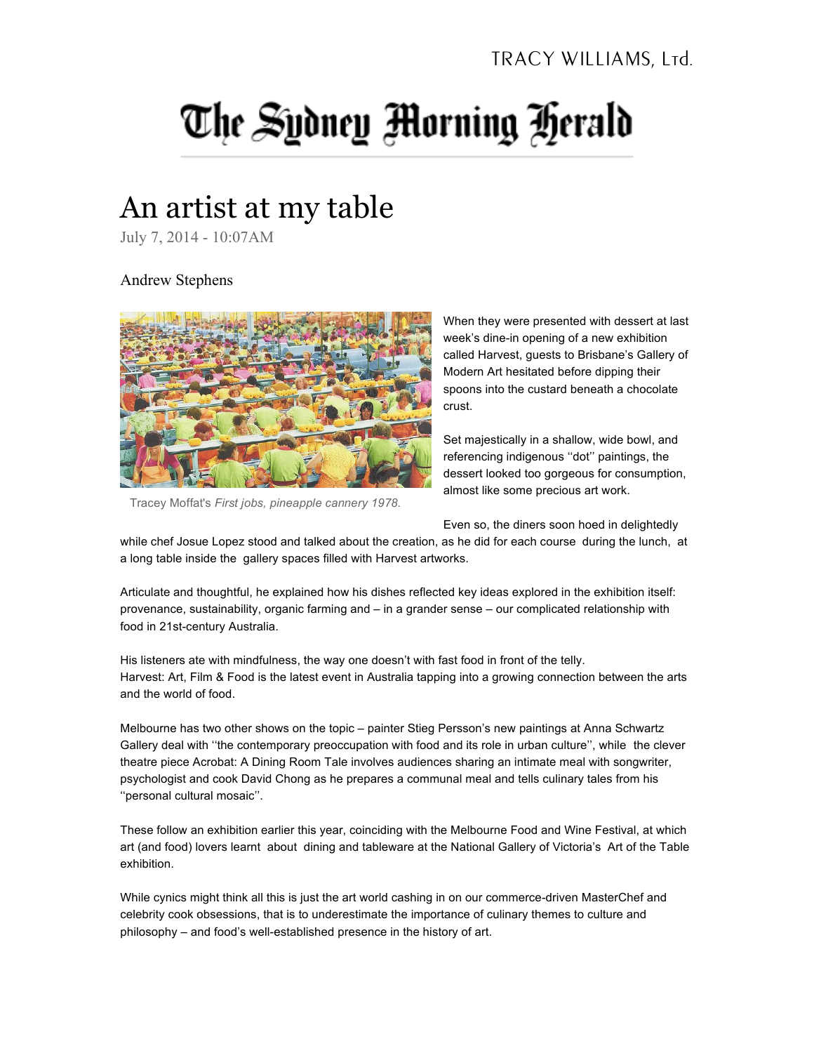## The Sydney Morning Herald

## An artist at my table

July 7, 2014 - 10:07AM

Andrew Stephens



Tracey Moffat's *First jobs, pineapple cannery 1978*.

When they were presented with dessert at last week's dine-in opening of a new exhibition called Harvest, guests to Brisbane's Gallery of Modern Art hesitated before dipping their spoons into the custard beneath a chocolate crust.

Set majestically in a shallow, wide bowl, and referencing indigenous ''dot'' paintings, the dessert looked too gorgeous for consumption, almost like some precious art work.

Even so, the diners soon hoed in delightedly

while chef Josue Lopez stood and talked about the creation, as he did for each course during the lunch, at a long table inside the gallery spaces filled with Harvest artworks.

Articulate and thoughtful, he explained how his dishes reflected key ideas explored in the exhibition itself: provenance, sustainability, organic farming and – in a grander sense – our complicated relationship with food in 21st-century Australia.

His listeners ate with mindfulness, the way one doesn't with fast food in front of the telly. Harvest: Art, Film & Food is the latest event in Australia tapping into a growing connection between the arts and the world of food.

Melbourne has two other shows on the topic – painter Stieg Persson's new paintings at Anna Schwartz Gallery deal with ''the contemporary preoccupation with food and its role in urban culture'', while the clever theatre piece Acrobat: A Dining Room Tale involves audiences sharing an intimate meal with songwriter, psychologist and cook David Chong as he prepares a communal meal and tells culinary tales from his ''personal cultural mosaic''.

These follow an exhibition earlier this year, coinciding with the Melbourne Food and Wine Festival, at which art (and food) lovers learnt about dining and tableware at the National Gallery of Victoria's Art of the Table exhibition.

While cynics might think all this is just the art world cashing in on our commerce-driven MasterChef and celebrity cook obsessions, that is to underestimate the importance of culinary themes to culture and philosophy – and food's well-established presence in the history of art.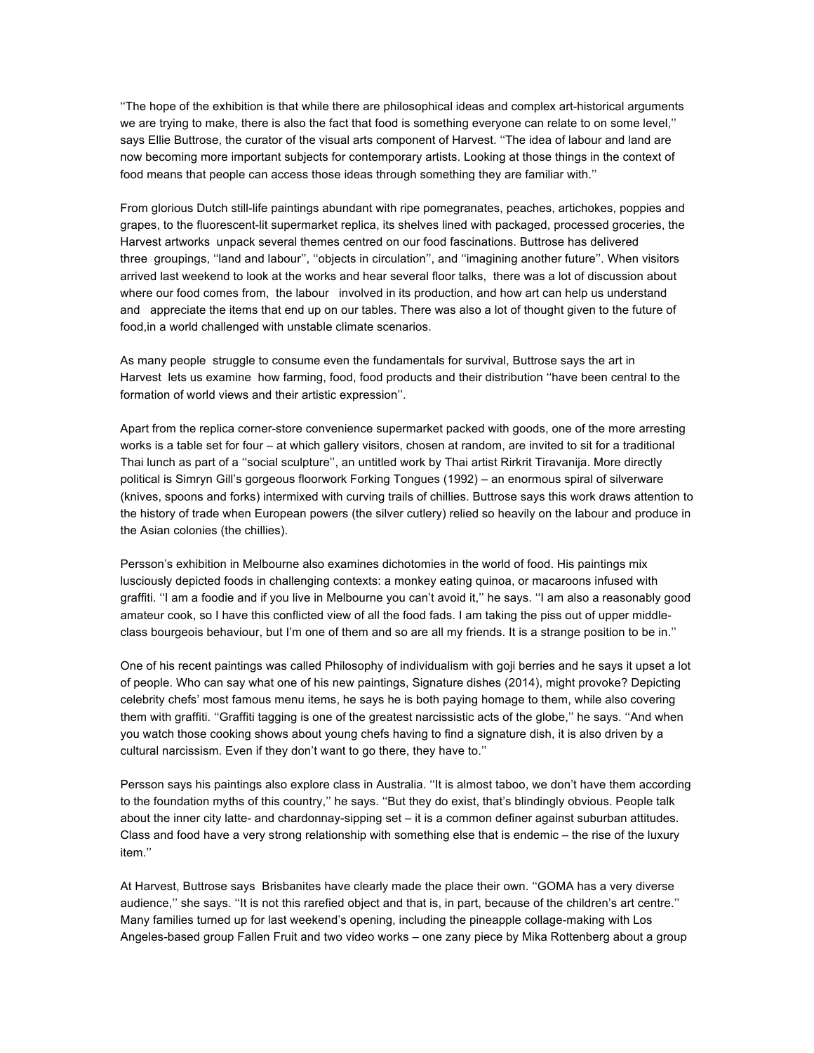''The hope of the exhibition is that while there are philosophical ideas and complex art-historical arguments we are trying to make, there is also the fact that food is something everyone can relate to on some level,'' says Ellie Buttrose, the curator of the visual arts component of Harvest. "The idea of labour and land are now becoming more important subjects for contemporary artists. Looking at those things in the context of food means that people can access those ideas through something they are familiar with.''

From glorious Dutch still-life paintings abundant with ripe pomegranates, peaches, artichokes, poppies and grapes, to the fluorescent-lit supermarket replica, its shelves lined with packaged, processed groceries, the Harvest artworks unpack several themes centred on our food fascinations. Buttrose has delivered three groupings, ''land and labour'', ''objects in circulation'', and ''imagining another future''. When visitors arrived last weekend to look at the works and hear several floor talks, there was a lot of discussion about where our food comes from, the labour involved in its production, and how art can help us understand and appreciate the items that end up on our tables. There was also a lot of thought given to the future of food,in a world challenged with unstable climate scenarios.

As many people struggle to consume even the fundamentals for survival, Buttrose says the art in Harvest lets us examine how farming, food, food products and their distribution ''have been central to the formation of world views and their artistic expression''.

Apart from the replica corner-store convenience supermarket packed with goods, one of the more arresting works is a table set for four – at which gallery visitors, chosen at random, are invited to sit for a traditional Thai lunch as part of a ''social sculpture'', an untitled work by Thai artist Rirkrit Tiravanija. More directly political is Simryn Gill's gorgeous floorwork Forking Tongues (1992) – an enormous spiral of silverware (knives, spoons and forks) intermixed with curving trails of chillies. Buttrose says this work draws attention to the history of trade when European powers (the silver cutlery) relied so heavily on the labour and produce in the Asian colonies (the chillies).

Persson's exhibition in Melbourne also examines dichotomies in the world of food. His paintings mix lusciously depicted foods in challenging contexts: a monkey eating quinoa, or macaroons infused with graffiti. ''I am a foodie and if you live in Melbourne you can't avoid it,'' he says. ''I am also a reasonably good amateur cook, so I have this conflicted view of all the food fads. I am taking the piss out of upper middleclass bourgeois behaviour, but I'm one of them and so are all my friends. It is a strange position to be in.''

One of his recent paintings was called Philosophy of individualism with goji berries and he says it upset a lot of people. Who can say what one of his new paintings, Signature dishes (2014), might provoke? Depicting celebrity chefs' most famous menu items, he says he is both paying homage to them, while also covering them with graffiti. ''Graffiti tagging is one of the greatest narcissistic acts of the globe,'' he says. ''And when you watch those cooking shows about young chefs having to find a signature dish, it is also driven by a cultural narcissism. Even if they don't want to go there, they have to.''

Persson says his paintings also explore class in Australia. ''It is almost taboo, we don't have them according to the foundation myths of this country,'' he says. ''But they do exist, that's blindingly obvious. People talk about the inner city latte- and chardonnay-sipping set – it is a common definer against suburban attitudes. Class and food have a very strong relationship with something else that is endemic – the rise of the luxury item.''

At Harvest, Buttrose says Brisbanites have clearly made the place their own. ''GOMA has a very diverse audience,'' she says. ''It is not this rarefied object and that is, in part, because of the children's art centre.'' Many families turned up for last weekend's opening, including the pineapple collage-making with Los Angeles-based group Fallen Fruit and two video works – one zany piece by Mika Rottenberg about a group